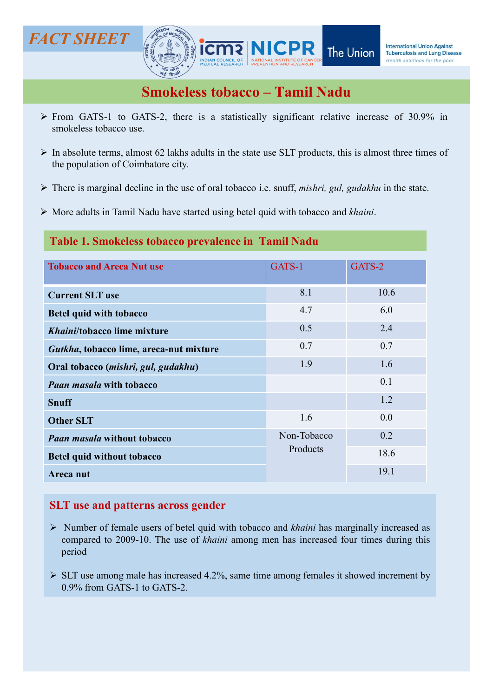# FACT SHEET **FACT SHEET**



- Smokeless tobacco Tamil Nadu<br>
Smokeless tobacco Tamil Nadu<br>
Smokeless tobacco Tamil Nadu<br>
Smokeless tobacco Tamil Nadu<br>
ATS-2, there is a statistically significant relative increase of 30.9% in
- From GATS-1 to GATS-2, there is a statistically significant relative increase of 30.9% in<br>
From GATS-1 to GATS-2, there is a statistically significant relative increase of 30.9% in<br>  $\triangleright$  In absolute terms, almost 62 lak CT SHEET  $\begin{pmatrix} 1 & 1 & 1 \ 1 & 1 & 1 \end{pmatrix}$  interests  $\begin{pmatrix} 1 & 1 \ 1 & 1 \end{pmatrix}$  interests  $\begin{pmatrix} 1 & 1 \ 1 & 1 \end{pmatrix}$  interests  $\begin{pmatrix} 1 & 1 \ 1 & 1 \end{pmatrix}$  interests  $\begin{pmatrix} 1 & 1 \ 1 & 1 \end{pmatrix}$  interests  $\begin{pmatrix} 1 & 1 \ 1 & 1 \end{pmatrix}$  **IN ACT SHEET SUBSET ANTISED AND SUBSET THE UNION DEPARMINDENT THE UNION DEPOSITOR SUBSERVIEWS SUBSET ON A DISPONDENCES SUBSERVIEWS ARE STATED AND SUBSERVIEWS SUBSERVIEWS AND SUBSERVIEWS AND SUBSERVIEWS OF A PRODUCT ON A EXECUTE:**<br> **THE POPULATE TRESPASE THE UNION TRANSPARED TREVALL THE UNION TRANSPARED TREVALL SERVICES STODACCO - TAMILY NADU<br>
From GATS-1 to GATS-2, there is a statistically significant relative increase of 30.9% is<br>
In a ACT SHEET**<br> **The Union**<br> **Smokeless tobacco** - **Tamil Nadu**<br> **EXECUTE THE Union**<br> **Smokeless tobacco** - **Tamil Nadu**<br> **EXECUTE TO GATS-2**, there is a statistically significant relative increase of 30.9% in<br>
The smokeless **ACT SHEET**<br> **SMORELES SUBDICED TRANS THE UNION DEPARM**<br>
The Union **EXECUTE STARS SUBDICES SUBDICED TRANS TO CONSUMPLE SUBDICES**<br>
The Union GATS-1 to GATS-2, there is a statistically significant relative increase of 30.9%
- 
- 

## Table 1. Smokeless tobacco prevalence in Tamil Nadu

|                                                                                                                                                                                                                                                                                                                                                                                                    |                         | The Union<br><b>Tuberculosis and Lung Disease</b><br>Health solutions for the poor |
|----------------------------------------------------------------------------------------------------------------------------------------------------------------------------------------------------------------------------------------------------------------------------------------------------------------------------------------------------------------------------------------------------|-------------------------|------------------------------------------------------------------------------------|
| <b>Smokeless tobacco - Tamil Nadu</b>                                                                                                                                                                                                                                                                                                                                                              |                         |                                                                                    |
| > From GATS-1 to GATS-2, there is a statistically significant relative increase of 30.9% in<br>smokeless tobacco use.                                                                                                                                                                                                                                                                              |                         |                                                                                    |
| > In absolute terms, almost 62 lakhs adults in the state use SLT products, this is almost three times of<br>the population of Coimbatore city.                                                                                                                                                                                                                                                     |                         |                                                                                    |
| > There is marginal decline in the use of oral tobacco i.e. snuff, <i>mishri</i> , gul, gudakhu in the state.                                                                                                                                                                                                                                                                                      |                         |                                                                                    |
| > More adults in Tamil Nadu have started using betel quid with tobacco and khaini.                                                                                                                                                                                                                                                                                                                 |                         |                                                                                    |
| Table 1. Smokeless tobacco prevalence in Tamil Nadu                                                                                                                                                                                                                                                                                                                                                |                         |                                                                                    |
| <b>Tobacco and Areca Nut use</b>                                                                                                                                                                                                                                                                                                                                                                   | GATS-1                  | GATS-2                                                                             |
| <b>Current SLT use</b>                                                                                                                                                                                                                                                                                                                                                                             | 8.1                     | 10.6                                                                               |
| <b>Betel quid with tobacco</b>                                                                                                                                                                                                                                                                                                                                                                     | 4.7                     | 6.0                                                                                |
| Khaini/tobacco lime mixture                                                                                                                                                                                                                                                                                                                                                                        | 0.5                     | 2.4                                                                                |
| Gutkha, tobacco lime, areca-nut mixture                                                                                                                                                                                                                                                                                                                                                            | 0.7                     | 0.7                                                                                |
| Oral tobacco (mishri, gul, gudakhu)                                                                                                                                                                                                                                                                                                                                                                | 1.9                     | 1.6                                                                                |
| <b>Paan masala with tobacco</b>                                                                                                                                                                                                                                                                                                                                                                    |                         | 0.1                                                                                |
| <b>Snuff</b>                                                                                                                                                                                                                                                                                                                                                                                       |                         | 1.2                                                                                |
| <b>Other SLT</b>                                                                                                                                                                                                                                                                                                                                                                                   | 1.6                     | 0.0                                                                                |
| Paan masala without tobacco                                                                                                                                                                                                                                                                                                                                                                        | Non-Tobacco<br>Products | 0.2                                                                                |
| Betel quid without tobacco                                                                                                                                                                                                                                                                                                                                                                         |                         | 18.6                                                                               |
| Areca nut                                                                                                                                                                                                                                                                                                                                                                                          |                         | 19.1                                                                               |
| <b>SLT</b> use and patterns across gender<br>$\triangleright$ Number of female users of betel quid with tobacco and khaini has marginally increased as<br>compared to 2009-10. The use of khaini among men has increased four times during this<br>period<br>$\triangleright$ SLT use among male has increased 4.2%, same time among females it showed increment by<br>0.9% from GATS-1 to GATS-2. |                         |                                                                                    |

- period
-